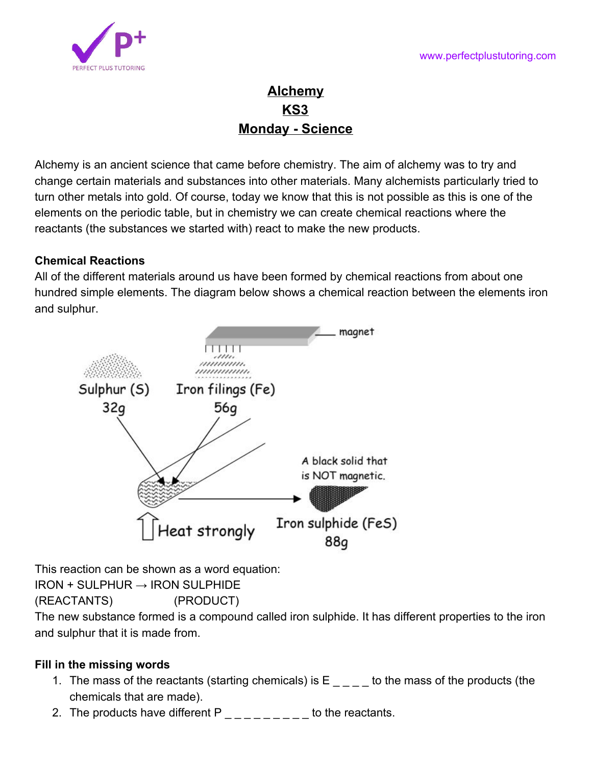

# **Alchemy KS3 Monday - Science**

Alchemy is an ancient science that came before chemistry. The aim of alchemy was to try and change certain materials and substances into other materials. Many alchemists particularly tried to turn other metals into gold. Of course, today we know that this is not possible as this is one of the elements on the periodic table, but in chemistry we can create chemical reactions where the reactants (the substances we started with) react to make the new products.

# **Chemical Reactions**

All of the different materials around us have been formed by chemical reactions from about one hundred simple elements. The diagram below shows a chemical reaction between the elements iron and sulphur.



This reaction can be shown as a word equation:  $IRON + SULPHUR \rightarrow IRON$  SULPHIDE

(REACTANTS) (PRODUCT)

The new substance formed is a compound called iron sulphide. It has different properties to the iron and sulphur that it is made from.

# **Fill in the missing words**

- 1. The mass of the reactants (starting chemicals) is  $E$   $\qquad$  to the mass of the products (the chemicals that are made).
- 2. The products have different P \_ \_ \_ \_ \_ \_ to the reactants.